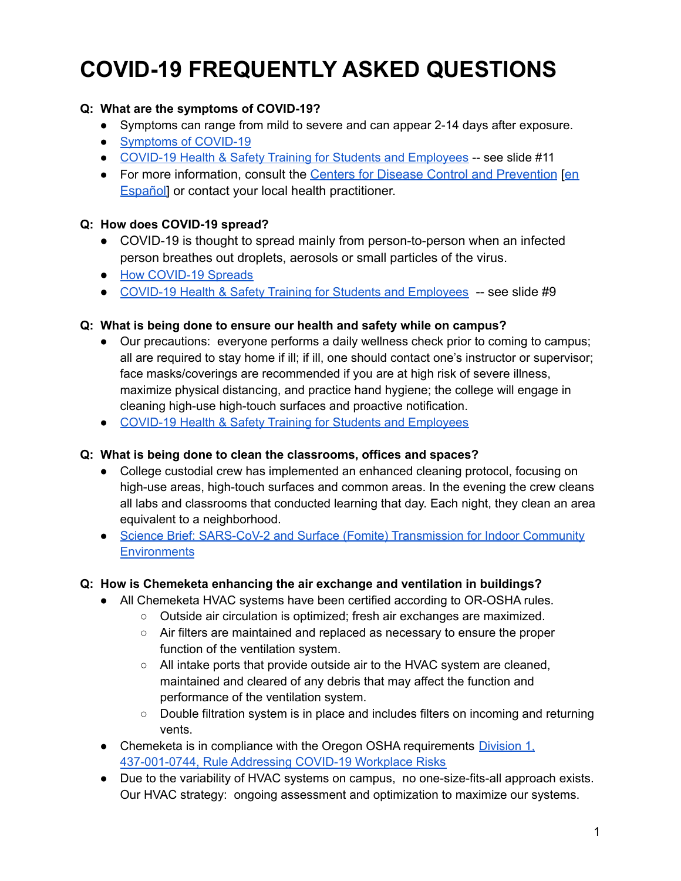# **COVID-19 FREQUENTLY ASKED QUESTIONS**

# **Q: What are the symptoms of COVID-19?**

- Symptoms can range from mild to severe and can appear 2-14 days after exposure.
- [Symptoms](https://www.cdc.gov/coronavirus/2019-ncov/symptoms-testing/symptoms.html) of COVID-19
- COVID-19 Health & Safety Training for Students and [Employees](https://www.chemeketa.edu/media/content-assets/documents/pdf/ChemeketaCOVID19HealthSafetyTraining_090821.pdf) -- see slide #11
- For more information, consult the Centers for Disease Control and [Prevention](https://www.cdc.gov/coronavirus/2019-ncov/symptoms-testing/symptoms.html) [[en](https://espanol.cdc.gov/coronavirus/2019-ncov/symptoms-testing/symptoms.html) [Español\]](https://espanol.cdc.gov/coronavirus/2019-ncov/symptoms-testing/symptoms.html) or contact your local health practitioner.

## **Q: How does COVID-19 spread?**

- COVID-19 is thought to spread mainly from person-to-person when an infected person breathes out droplets, aerosols or small particles of the virus.
- How [COVID-19](https://www.cdc.gov/coronavirus/2019-ncov/prevent-getting-sick/how-covid-spreads.html) Spreads
- COVID-19 Health & Safety Training for Students and [Employees](https://www.chemeketa.edu/media/content-assets/documents/pdf/ChemeketaCOVID19HealthSafetyTraining_090821.pdf) -- see slide #9

## **Q: What is being done to ensure our health and safety while on campus?**

- Our precautions: everyone performs a daily wellness check prior to coming to campus; all are required to stay home if ill; if ill, one should contact one's instructor or supervisor; face masks/coverings are recommended if you are at high risk of severe illness, maximize physical distancing, and practice hand hygiene; the college will engage in cleaning high-use high-touch surfaces and proactive notification.
- COVID-19 Health & Safety Training for Students and [Employees](https://www.chemeketa.edu/media/content-assets/documents/pdf/ChemeketaCOVID19HealthSafetyTraining_090821.pdf)

## **Q: What is being done to clean the classrooms, offices and spaces?**

- College custodial crew has implemented an enhanced cleaning protocol, focusing on high-use areas, high-touch surfaces and common areas. In the evening the crew cleans all labs and classrooms that conducted learning that day. Each night, they clean an area equivalent to a neighborhood.
- Science Brief: SARS-CoV-2 and Surface (Fomite) [Transmission](https://www.cdc.gov/coronavirus/2019-ncov/more/science-and-research/surface-transmission.html) for Indoor Community **[Environments](https://www.cdc.gov/coronavirus/2019-ncov/more/science-and-research/surface-transmission.html)**

## **Q: How is Chemeketa enhancing the air exchange and ventilation in buildings?**

- All Chemeketa HVAC systems have been certified according to OR-OSHA rules.
	- Outside air circulation is optimized; fresh air exchanges are maximized.
	- Air filters are maintained and replaced as necessary to ensure the proper function of the ventilation system.
	- All intake ports that provide outside air to the HVAC system are cleaned, maintained and cleared of any debris that may affect the function and performance of the ventilation system.
	- Double filtration system is in place and includes filters on incoming and returning vents.
- Chemeketa is in compliance with the Oregon OSHA requirements [Division](https://osha.oregon.gov/OSHARules/div1/437-001-0744.pdf) 1, [437-001-0744,](https://osha.oregon.gov/OSHARules/div1/437-001-0744.pdf) Rule Addressing COVID-19 Workplace Risks
- Due to the variability of HVAC systems on campus, no one-size-fits-all approach exists. Our HVAC strategy: ongoing assessment and optimization to maximize our systems.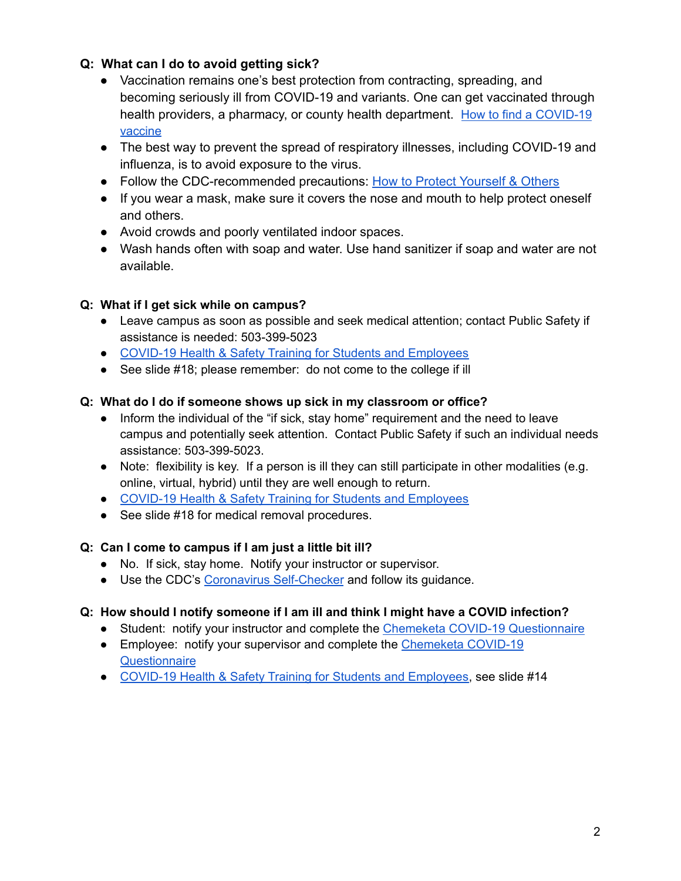# **Q: What can I do to avoid getting sick?**

- Vaccination remains one's best protection from contracting, spreading, and becoming seriously ill from COVID-19 and variants. One can get vaccinated through health providers, a pharmacy, or county health department. How to find a [COVID-19](https://govstatus.egov.com/find-covid-19-vaccine) [vaccine](https://govstatus.egov.com/find-covid-19-vaccine)
- The best way to prevent the spread of respiratory illnesses, including COVID-19 and influenza, is to avoid exposure to the virus.
- Follow the CDC-recommended precautions: How to Protect [Yourself](https://www.cdc.gov/coronavirus/2019-ncov/prevent-getting-sick/prevention.html) & Others
- If you wear a mask, make sure it covers the nose and mouth to help protect oneself and others.
- Avoid crowds and poorly ventilated indoor spaces.
- Wash hands often with soap and water. Use hand sanitizer if soap and water are not available.

## **Q: What if I get sick while on campus?**

- Leave campus as soon as possible and seek medical attention; contact Public Safety if assistance is needed: 503-399-5023
- COVID-19 Health & Safety Training for Students and [Employees](https://www.chemeketa.edu/media/content-assets/documents/pdf/ChemeketaCOVID19HealthSafetyTraining_090821.pdf)
- See slide #18; please remember: do not come to the college if ill

## **Q: What do I do if someone shows up sick in my classroom or office?**

- Inform the individual of the "if sick, stay home" requirement and the need to leave campus and potentially seek attention. Contact Public Safety if such an individual needs assistance: 503-399-5023.
- Note: flexibility is key. If a person is ill they can still participate in other modalities (e.g. online, virtual, hybrid) until they are well enough to return.
- COVID-19 Health & Safety Training for Students and [Employees](https://www.chemeketa.edu/media/content-assets/documents/pdf/ChemeketaCOVID19HealthSafetyTraining_090821.pdf)
- See slide #18 for medical removal procedures.

## **Q: Can I come to campus if I am just a little bit ill?**

- No. If sick, stay home. Notify your instructor or supervisor.
- Use the CDC's Coronavirus [Self-Checker](https://www.cdc.gov/coronavirus/2019-ncov/symptoms-testing/coronavirus-self-checker.html) and follow its guidance.

# **Q: How should I notify someone if I am ill and think I might have a COVID infection?**

- Student: notify your instructor and complete the Chemeketa COVID-19 [Questionnaire](https://docs.google.com/forms/d/e/1FAIpQLScRUeqkFresuZvGnwKxvAbtRLhMm_O_xBC9yV5Us9LdWVjZSg/viewform?usp=sf_link)
- Employee: notify your supervisor and complete the [Chemeketa](https://docs.google.com/forms/d/e/1FAIpQLScRUeqkFresuZvGnwKxvAbtRLhMm_O_xBC9yV5Us9LdWVjZSg/viewform?usp=sf_link) COVID-19 **[Questionnaire](https://docs.google.com/forms/d/e/1FAIpQLScRUeqkFresuZvGnwKxvAbtRLhMm_O_xBC9yV5Us9LdWVjZSg/viewform?usp=sf_link)**
- COVID-19 Health & Safety Training for Students and [Employees,](https://www.chemeketa.edu/media/content-assets/documents/pdf/ChemeketaCOVID19HealthSafetyTraining_090821.pdf) see slide #14